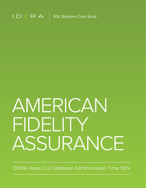

# AMERICAN FIDELITY ASSURANCE

IDERA Helps Cut Database Administration Time 50%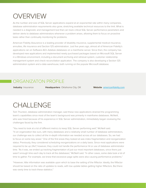#### OVERVIEW

As the number and size of SQL Server applications expand at an exponential rate within many companies, database administration requirements also grow, stretching available technical resources to the limit. What is needed is a diagnostic and management tool that can track critical SQL Server performance parameters and deliver alerts to database administrators whenever a problem arises, allowing them to focus on proactive tasks rather than continually monitoring for problems.

American Fidelity Assurance is a leading provider of disability insurance, supplemental medical insurance, annuities, life insurance and Section 125 administration. Just five years ago, almost all of American Fidelity's applications ran on Software AG's Adabas databases on a mainframe server. Since then, the company has developed new applications and implemented newly purchased packages based on Microsoft SQL Server in a Windows environment, including a document archiving and retrieval system, customer relationship management system and check reconciliation application. The company is also developing a Section 125 administration system and a data warehouse, both running on the popular Microsoft database.

#### ORGANIZATON PROFILE

**Industry** Insurance **Headquarters** Oklahoma City, OK **Website** [americanfidelity.com](https://americanfidelity.com/)

### CHALLENGE

Tom Thurston, database administration manager, said these new applications strained the programming team's capabilities since most of the team's background was primarily in mainframe databases. McNeill, who was hired because of his experience in SQL Server administration, immediately began reviewing the challenges faced by the firm.

"You need to look at a lot of different metrics to keep SQL Server performing well," McNeill said. "In an organization like ours, with many databases and a relatively small number of database administrators, our challenge was to collect all the in-depth information we needed across all our databases. So, we had to focus on some key areas." One of the first areas they looked at was index fragmentation and reorganization status. Previously, they considered scheduling reorganizations on a daily basis. Since most applications were required to be up 24x7, however, they could not handle the performance hit or use of database administrator time. "As it was, we ended up tracking fragmentation of just our most important databases, since there just wasn't enough time each day to track all the databases," McNeill said. "In other cases, some data took a lot of time to gather. For example, we knew that excessive page splits were also causing performance problems."

"However, little information was available upon which to base the setting of the fillfactor. Ideally, the fillfactor should be based on the ratio of updates to reads, with low update tables getting higher fillfactors. But there was rarely time to track these statistics."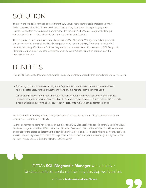## SOLUTION

Thurston and McNeill examined some different SQL Server management tools. McNeill said most had to be installed on SQL Server itself. "Installing anything on a server is major surgery, and I was concerned that we would see a performance hit," he said. "IDERA's SQL Diagnostic Manager was attractive because its tools could run from my desktop workstation."

The company's database administrators began using SQL Diagnostic Manager immediately to track statistics essential to maintaining SQL Server performance and availability. For example, instead of manually following SQL Servers for index fragmentation, database administrators set up SQL Diagnostic Manager to automatically monitor for fragmentation above a set level and then send an alert if a threshold is reached.

#### BENEFITS

Having SQL Diagnostic Manager automatically track fragmentation offered some immediate benefits, including:

- By setting up the tool to automatically track fragmentation, database administrators were able to follow all databases, instead of just the most important ones they previously managed.
- With a steady flow of information, the database administrator team could achieve an ideal balance between reorganizations and fragmentation. Instead of reorganizing at set times, such as twice weekly, a reorganization now only had to occur when necessary to maintain set performance levels.

Plans for American Fidelity include taking advantage of the capability of SQL Diagnostic Manager to run reorganization scripts automatically.

Further performance gains have been achieved by using SQL Diagnostic Manager to carefully track individual database usage so that their fillfactors can be optimized. "We watch the number of inserts, updates, deletes and reads for the tables to determine the best fillfactors," McNeill said. "For a table with many inserts, updates, and deletes, we might set the fillfactor to 75 percent. On the other hand, for a table that gets very few writes but many reads, we would set the fillfactor to 95 percent."



IDERA's **SQL Diagnostic Manager** was attractive because its tools could run from my desktop workstation.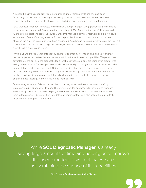American Fidelity has seen significant performance improvements by taking this approach. Optimizing fillfactors and eliminating unnecessary indexes on one database made it possible to reduce the index size from 24 to 14 gigabytes, which improved response time by 20 percent.

"SQL Diagnostic Manager integrates well with NetIQ's AppManager Suite (AppManager), which helps us manage the computing infrastructure that could impact SQL Server performance," Thurston said. "Our network operations center uses AppManager to manage a physical hardware and the Windows environment. Some of the diagnostics information provided by this tool is important to us. Instead of asking them for the information, we have configured AppManager to automatically deliver the relevant reports and alerts into the SQL Diagnostic Manager console. That way, we can administer and monitor everything from a single interface."

"While SQL Diagnostic Manager is already saving large amounts of time and helping us to improve the user experience, we feel that we are just scratching the surface of its capabilities. We plan to take advantage of the ability of the diagnostic tools to take corrective actions, providing even greater time savings automatically. For example, we intend to automatically run reorganization routines when index fragmentation reaches a certain level. Or if we are running short on disk space a routine to truncate the transaction log will be actuated. SQL Diagnostic Manager is just what we need to manage more databases without increasing our staff. It handles the routine tasks and lets our skilled staff focus on those areas that require their creative and technical skills."

Summarizing: American Fidelity doubled the productivity of its database administrator staff by implementing SQL Diagnostic Manager. The product enables database administrators to diagnose and correct performance problems rapidly. IDERA made it possible for the database administrator team to focus almost 100 percent on true database administrator work, eliminating the routine tasks that were occupying half of their time.

While **SQL Diagnostic Manager** is already saving large amounts of time and helping us to improve the user experience, we feel that we are just scratching the surface of its capabilities.

Tom Thurston **Database Administration Manager**